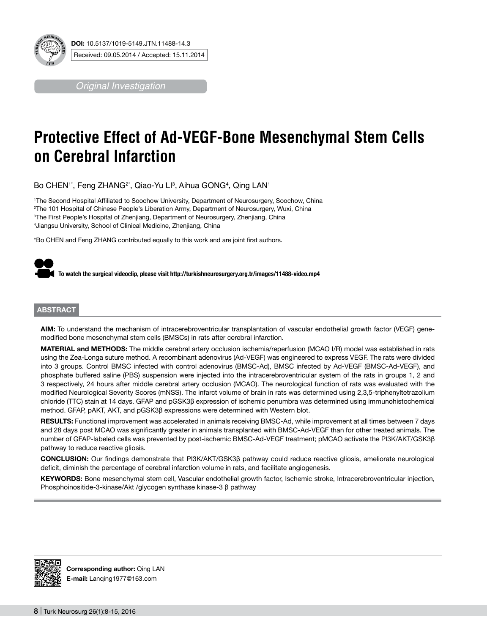

*Original Investigation*

# **Protective Effect of Ad-VEGF-Bone Mesenchymal Stem Cells on Cerebral Infarction**

Bo CHEN'\*, Feng ZHANG²\*, Qiao-Yu Llª, Aihua GONG4, Qing LAN1

 The Second Hospital Affiliated to Soochow University, Department of Neurosurgery, Soochow, China The 101 Hospital of Chinese People's Liberation Army, Department of Neurosurgery, Wuxi, China The First People's Hospital of Zhenjiang, Department of Neurosurgery, Zhenjiang, China Jiangsu University, School of Clinical Medicine, Zhenjiang, China

\*Bo CHEN and Feng ZHANG contributed equally to this work and are joint first authors.



## **ABSTRACT**

**AIm:** To understand the mechanism of intracerebroventricular transplantation of vascular endothelial growth factor (VEGF) genemodified bone mesenchymal stem cells (BMSCs) in rats after cerebral infarction.

**MaterIal and Methods:** The middle cerebral artery occlusion ischemia/reperfusion (MCAO I/R) model was established in rats using the Zea-Longa suture method. A recombinant adenovirus (Ad-VEGF) was engineered to express VEGF. The rats were divided into 3 groups. Control BMSC infected with control adenovirus (BMSC-Ad), BMSC infected by Ad-VEGF (BMSC-Ad-VEGF), and phosphate buffered saline (PBS) suspension were injected into the intracerebroventricular system of the rats in groups 1, 2 and 3 respectively, 24 hours after middle cerebral artery occlusion (MCAO). The neurological function of rats was evaluated with the modified Neurological Severity Scores (mNSS). The infarct volume of brain in rats was determined using 2,3,5-triphenyltetrazolium chloride (TTC) stain at 14 days. GFAP and pGSK3β expression of ischemic penumbra was determined using immunohistochemical method. GFAP, pAKT, AKT, and pGSK3β expressions were determined with Western blot.

RESULTS: Functional improvement was accelerated in animals receiving BMSC-Ad, while improvement at all times between 7 days and 28 days post MCAO was significantly greater in animals transplanted with BMSC-Ad-VEGF than for other treated animals. The number of GFAP-labeled cells was prevented by post-ischemic BMSC-Ad-VEGF treatment; pMCAO activate the PI3K/AKT/GSK3β pathway to reduce reactive gliosis.

**ConclusIon:** Our findings demonstrate that PI3K/AKT/GSK3β pathway could reduce reactive gliosis, ameliorate neurological deficit, diminish the percentage of cerebral infarction volume in rats, and facilitate angiogenesis.

**Keywords:** Bone mesenchymal stem cell, Vascular endothelial growth factor, Ischemic stroke, Intracerebroventricular injection, Phosphoinositide-3-kinase/Akt /glycogen synthase kinase-3 β pathway



**Corresponding author:** Qing LAN **E-mail:** Lanqing1977@163.com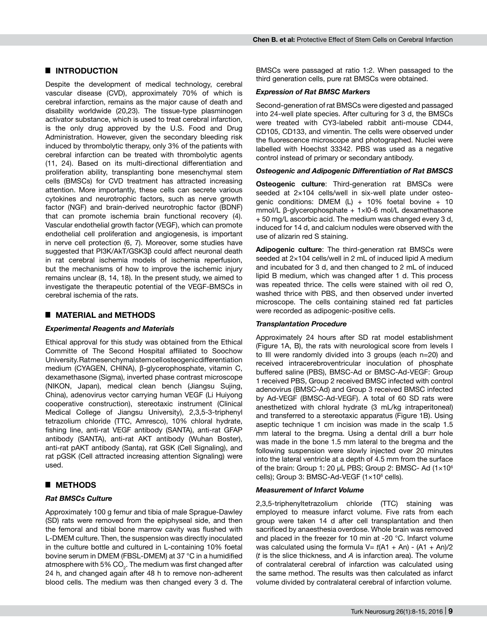# █ **INTRODUCTION**

Despite the development of medical technology, cerebral vascular disease (CVD), approximately 70% of which is cerebral infarction, remains as the major cause of death and disability worldwide (20,23). The tissue-type plasminogen activator substance, which is used to treat cerebral infarction, is the only drug approved by the U.S. Food and Drug Administration. However, given the secondary bleeding risk induced by thrombolytic therapy, only 3% of the patients with cerebral infarction can be treated with thrombolytic agents (11, 24). Based on its multi-directional differentiation and proliferation ability, transplanting bone mesenchymal stem cells (BMSCs) for CVD treatment has attracted increasing attention. More importantly, these cells can secrete various cytokines and neurotrophic factors, such as nerve growth factor (NGF) and brain-derived neurotrophic factor (BDNF) that can promote ischemia brain functional recovery (4). Vascular endothelial growth factor (VEGF), which can promote endothelial cell proliferation and angiogenesis, is important in nerve cell protection (6, 7). Moreover, some studies have suggested that PI3K/AkT/GSK3β could affect neuronal death in rat cerebral ischemia models of ischemia reperfusion, but the mechanisms of how to improve the ischemic injury remains unclear (8, 14, 18). In the present study, we aimed to investigate the therapeutic potential of the VEGF-BMSCs in cerebral ischemia of the rats.

## █ **MATERIAL and METHODS**

## *Experimental Reagents and Materials*

Ethical approval for this study was obtained from the Ethical Committe of The Second Hospital affiliated to Soochow University. Rat mesenchymal stem cell osteogenic differentiation medium (CYAGEN, CHINA), β-glycerophosphate, vitamin C, dexamethasone (Sigma), inverted phase contrast microscope (NIKON, Japan), medical clean bench (Jiangsu Sujing, China), adenovirus vector carrying human VEGF (Li Huiyong cooperative construction), stereotaxic instrument (Clinical Medical College of Jiangsu University), 2,3,5-3-triphenyl tetrazolium chloride (TTC, Amresco), 10% chloral hydrate, fishing line, anti-rat VEGF antibody (SANTA), anti-rat GFAP antibody (SANTA), anti-rat AKT antibody (Wuhan Boster), anti-rat pAKT antibody (Santa), rat GSK (Cell Signaling), and rat pGSK (Cell attracted increasing attention Signaling) were used.

# █ **Methods**

## *Rat BMSCs Culture*

Approximately 100 g femur and tibia of male Sprague-Dawley (SD) rats were removed from the epiphyseal side, and then the femoral and tibial bone marrow cavity was flushed with L-DMEM culture. Then, the suspension was directly inoculated in the culture bottle and cultured in L-containing 10% foetal bovine serum in DMEM (FBSL-DMEM) at 37 °C in a humidified atmosphere with 5% CO $_{\textrm{\tiny{2}}}$ . The medium was first changed after 24 h, and changed again after 48 h to remove non-adherent blood cells. The medium was then changed every 3 d. The

BMSCs were passaged at ratio 1:2. When passaged to the third generation cells, pure rat BMSCs were obtained.

## *Expression of Rat BMSC Markers*

Second-generation of rat BMSCs were digested and passaged into 24-well plate species. After culturing for 3 d, the BMSCs were treated with CY3-labeled rabbit anti-mouse CD44, CD105, CD133, and vimentin. The cells were observed under the fluorescence microscope and photographed. Nuclei were labelled with Hoechst 33342. PBS was used as a negative control instead of primary or secondary antibody.

## *Osteogenic and Adipogenic Differentiation of Rat Bmscs*

**Osteogenic culture**: Third-generation rat BMSCs were seeded at 2×104 cells/well in six-well plate under osteogenic conditions: DMEM  $(L)$  + 10% foetal bovine + 10 mmol/L β-glycerophosphate + 1×l0-6 mol/L dexamethasone + 50 mg/L ascorbic acid. The medium was changed every 3 d, induced for 14 d, and calcium nodules were observed with the use of alizarin red S staining.

**Adipogenic culture**: The third-generation rat BMSCs were seeded at  $2\times104$  cells/well in 2 mL of induced lipid A medium and incubated for 3 d, and then changed to 2 mL of induced lipid B medium, which was changed after 1 d. This process was repeated thrice. The cells were stained with oil red O, washed thrice with PBS, and then observed under inverted microscope. The cells containing stained red fat particles were recorded as adipogenic-positive cells.

## *Transplantation Procedure*

Approximately 24 hours after SD rat model establishment (Figure 1A, B), the rats with neurological score from levels I to III were randomly divided into 3 groups (each n=20) and received intracerebroventricular inoculation of phosphate buffered saline (PBS), BMSC-Ad or BMSC-Ad-VEGF: Group 1 received PBS, Group 2 received BMSC infected with control adenovirus (BMSC-Ad) and Group 3 received BMSC infected by Ad-VEGF (BMSC-Ad-VEGF). A total of 60 SD rats were anesthetized with chloral hydrate (3 mL/kg intraperitoneal) and transferred to a stereotaxic apparatus (Figure 1B). Using aseptic technique 1 cm incision was made in the scalp 1.5 mm lateral to the bregma. Using a dental drill a burr hole was made in the bone 1.5 mm lateral to the bregma and the following suspension were slowly injected over 20 minutes into the lateral ventricle at a depth of 4.5 mm from the surface of the brain: Group 1: 20 μL PBS; Group 2: BMSC- Ad (1×10<sup>6</sup> cells); Group 3: BMSC-Ad-VEGF (1×10<sup>6</sup> cells).

## *Measurement of Infarct Volume*

2,3,5-triphenyltetrazolium chloride (TTC) staining was employed to measure infarct volume. Five rats from each group were taken 14 d after cell transplantation and then sacrificed by anaesthesia overdose. Whole brain was removed and placed in the freezer for 10 min at -20 °C. Infarct volume was calculated using the formula  $V = t(A1 + An) - (A1 + An)/2$ (*t* is the slice thickness, and *A* is infarction area). The volume of contralateral cerebral of infarction was calculated using the same method. The results was then calculated as infarct volume divided by contralateral cerebral of infarction volume.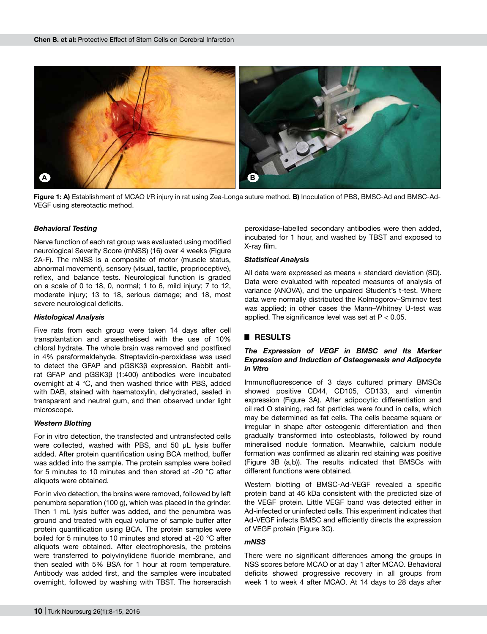

**Figure 1: A)** Establishment of MCAO I/R injury in rat using Zea-Longa suture method. **B)** Inoculation of PBS, BMSC-Ad and BMSC-Ad-VEGF using stereotactic method.

#### *Behavioral Testing*

Nerve function of each rat group was evaluated using modified neurological Severity Score (mNSS) (16) over 4 weeks (Figure 2A-F). The mNSS is a composite of motor (muscle status, abnormal movement), sensory (visual, tactile, proprioceptive), reflex, and balance tests. Neurological function is graded on a scale of 0 to 18, 0, normal; 1 to 6, mild injury; 7 to 12, moderate injury; 13 to 18, serious damage; and 18, most severe neurological deficits.

#### *Histological Analysis*

Five rats from each group were taken 14 days after cell transplantation and anaesthetised with the use of 10% chloral hydrate. The whole brain was removed and postfixed in 4% paraformaldehyde. Streptavidin-peroxidase was used to detect the GFAP and pGSK3β expression. Rabbit antirat GFAP and pGSK3β (1:400) antibodies were incubated overnight at 4 °C, and then washed thrice with PBS, added with DAB, stained with haematoxylin, dehydrated, sealed in transparent and neutral gum, and then observed under light microscope.

## *Western Blotting*

For in vitro detection, the transfected and untransfected cells were collected, washed with PBS, and 50 μL lysis buffer added. After protein quantification using BCA method, buffer was added into the sample. The protein samples were boiled for 5 minutes to 10 minutes and then stored at -20 °C after aliquots were obtained.

For in vivo detection, the brains were removed, followed by left penumbra separation (100 g), which was placed in the grinder. Then 1 mL lysis buffer was added, and the penumbra was ground and treated with equal volume of sample buffer after protein quantification using BCA. The protein samples were boiled for 5 minutes to 10 minutes and stored at -20 °C after aliquots were obtained. After electrophoresis, the proteins were transferred to polyvinylidene fluoride membrane, and then sealed with 5% BSA for 1 hour at room temperature. Antibody was added first, and the samples were incubated overnight, followed by washing with TBST. The horseradish

peroxidase-labelled secondary antibodies were then added, incubated for 1 hour, and washed by TBST and exposed to X-ray film.

#### *Statistical Analysis*

All data were expressed as means  $\pm$  standard deviation (SD). Data were evaluated with repeated measures of analysis of variance (ANOVA), and the unpaired Student's t-test. Where data were normally distributed the Kolmogorov–Smirnov test was applied; in other cases the Mann–Whitney U-test was applied. The significance level was set at  $P < 0.05$ .

#### █ **RESULTS**

## *The Expression of VEGF in BMSC and Its Marker Expression and Induction of Osteogenesis and Adipocyte in Vitro*

Immunofluorescence of 3 days cultured primary BMSCs showed positive CD44, CD105, CD133, and vimentin expression (Figure 3A). After adipocytic differentiation and oil red O staining, red fat particles were found in cells, which may be determined as fat cells. The cells became square or irregular in shape after osteogenic differentiation and then gradually transformed into osteoblasts, followed by round mineralised nodule formation. Meanwhile, calcium nodule formation was confirmed as alizarin red staining was positive (Figure 3B (a,b)). The results indicated that BMSCs with different functions were obtained.

Western blotting of BMSC-Ad-VEGF revealed a specific protein band at 46 kDa consistent with the predicted size of the VEGF protein. Little VEGF band was detected either in Ad-infected or uninfected cells. This experiment indicates that Ad-VEGF infects BMSC and efficiently directs the expression of VEGF protein (Figure 3c).

#### *mNSS*

There were no significant differences among the groups in NSS scores before MCAO or at day 1 after MCAO. Behavioral deficits showed progressive recovery in all groups from week 1 to week 4 after MCAO. At 14 days to 28 days after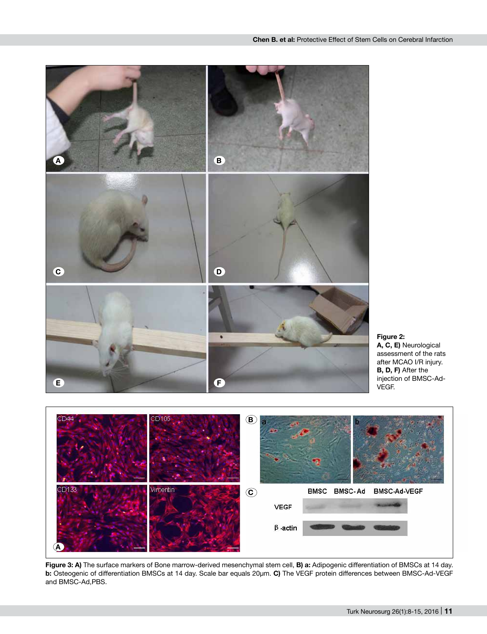





**Figure 3: A)** The surface markers of Bone marrow-derived mesenchymal stem cell, **B) a:** Adipogenic differentiation of BMSCs at 14 day. **b:** Osteogenic of differentiation BMSCs at 14 day. Scale bar equals 20μm. **C)** The VEGF protein differences between BMSC-Ad-VEGF and BMSC-Ad,PBS.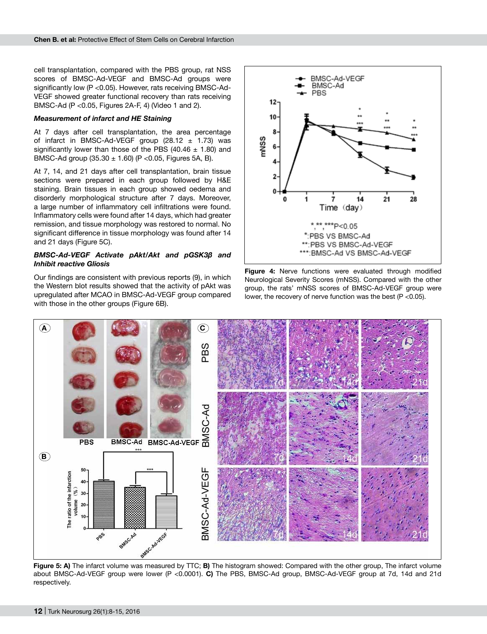cell transplantation, compared with the PBS group, rat NSS scores of BMSC-Ad-VEGF and BMSC-Ad groups were significantly low (P <0.05). However, rats receiving BMSC-Ad-VEGF showed greater functional recovery than rats receiving BMSC-Ad (P <0.05, Figures 2A-F, 4) (Video 1 and 2).

### *Measurement of infarct and HE Staining*

At 7 days after cell transplantation, the area percentage of infarct in BMSC-Ad-VEGF group  $(28.12 \pm 1.73)$  was significantly lower than those of the PBS (40.46  $\pm$  1.80) and BMSC-Ad group  $(35.30 \pm 1.60)$  (P < 0.05, Figures 5A, B).

At 7, 14, and 21 days after cell transplantation, brain tissue sections were prepared in each group followed by H&E staining. Brain tissues in each group showed oedema and disorderly morphological structure after 7 days. Moreover, a large number of inflammatory cell infiltrations were found. Inflammatory cells were found after 14 days, which had greater remission, and tissue morphology was restored to normal. No significant difference in tissue morphology was found after 14 and 21 days (Figure 5C).

## *BMSC-Ad-VEGF Activate pAkt/Akt and pGSK3β and Inhibit reactive Gliosis*

Our findings are consistent with previous reports (9), in which the Western blot results showed that the activity of pAkt was upregulated after MCAO in BMSC-Ad-VEGF group compared with those in the other groups (Figure 6B).



**Figure 4:** Nerve functions were evaluated through modified Neurological Severity Scores (mNSS). Compared with the other group, the rats' mNSS scores of BMSC-Ad-VEGF group were lower, the recovery of nerve function was the best  $(P < 0.05)$ .



**Figure 5: A)** The infarct volume was measured by TTC; **B)** The histogram showed: Compared with the other group, The infarct volume about BMSC-Ad-VEGF group were lower (P <0.0001). **C)** The PBS, BMSC-Ad group, BMSC-Ad-VEGF group at 7d, 14d and 21d respectively.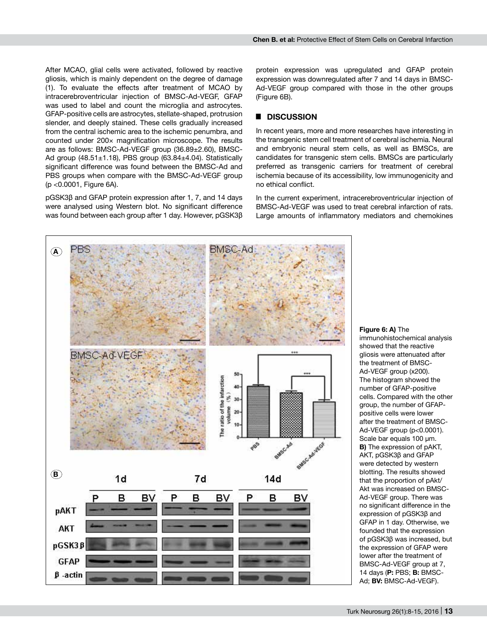**Chen B. et al:** Protective Effect of Stem Cells on Cerebral Infarction

After MCAO, glial cells were activated, followed by reactive gliosis, which is mainly dependent on the degree of damage (1). To evaluate the effects after treatment of MCAO by intracerebroventricular injection of BMSC-Ad-VEGF, GFAP was used to label and count the microglia and astrocytes. GFAP-positive cells are astrocytes, stellate-shaped, protrusion slender, and deeply stained. These cells gradually increased from the central ischemic area to the ischemic penumbra, and counted under 200× magnification microscope. The results are as follows: BMSC-Ad-VEGF group (36.89±2.60), BMSC-Ad group  $(48.51 \pm 1.18)$ , PBS group  $(63.84 \pm 4.04)$ . Statistically significant difference was found between the BMSC-Ad and PBS groups when compare with the BMSC-Ad-VEGF group (p <0.0001, Figure 6A).

pGSK3β and GFAP protein expression after 1, 7, and 14 days were analysed using Western blot. No significant difference was found between each group after 1 day. However, pGSK3β protein expression was upregulated and GFAP protein expression was downregulated after 7 and 14 days in BMSC-Ad-VEGF group compared with those in the other groups (Figure 6B).

# █ **DISCUSSION**

In recent years, more and more researches have interesting in the transgenic stem cell treatment of cerebral ischemia. Neural and embryonic neural stem cells, as well as BMSCs, are candidates for transgenic stem cells. BMSCs are particularly preferred as transgenic carriers for treatment of cerebral ischemia because of its accessibility, low immunogenicity and no ethical conflict.

In the current experiment, intracerebroventricular injection of BMSC-Ad-VEGF was used to treat cerebral infarction of rats. Large amounts of inflammatory mediators and chemokines



immunohistochemical analysis showed that the reactive gliosis were attenuated after the treatment of BMSC-Ad-VEGF group (x200). The histogram showed the number of GFAP-positive cells. Compared with the other group, the number of GFAPpositive cells were lower after the treatment of BMSC-Ad-VEGF group (p<0.0001). Scale bar equals 100 μm. **B)** The expression of pAKT, AKT, pGSK3β and GFAP were detected by western blotting. The results showed that the proportion of pAkt/ Akt was increased on BMSC-Ad-VEGF group. There was no significant difference in the expression of pGSK3β and GFAP in 1 day. Otherwise, we founded that the expression of pGSK3β was increased, but the expression of GFAP were lower after the treatment of BMSC-Ad-VEGF group at 7, 14 days (**P:** PBS; **B:** BMSC-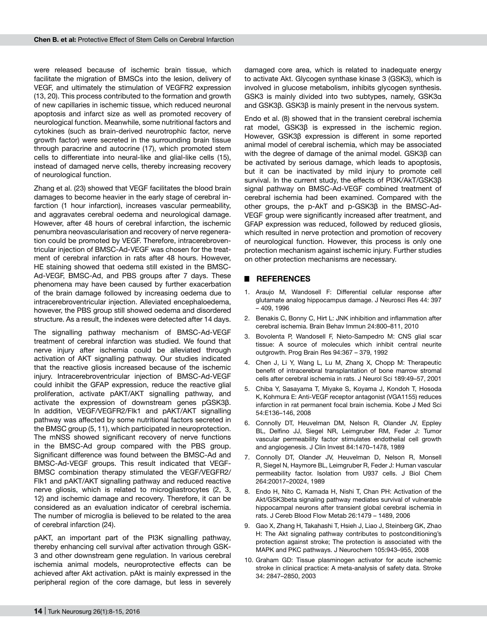were released because of ischemic brain tissue, which facilitate the migration of BMSCs into the lesion, delivery of VEGF, and ultimately the stimulation of VEGFR2 expression (13, 20). This process contributed to the formation and growth of new capillaries in ischemic tissue, which reduced neuronal apoptosis and infarct size as well as promoted recovery of neurological function. Meanwhile, some nutritional factors and cytokines (such as brain-derived neurotrophic factor, nerve growth factor) were secreted in the surrounding brain tissue through paracrine and autocrine (17), which promoted stem cells to differentiate into neural-like and glial-like cells (15), instead of damaged nerve cells, thereby increasing recovery of neurological function.

Zhang et al. (23) showed that VEGF facilitates the blood brain damages to become heavier in the early stage of cerebral infarction (1 hour infarction), increases vascular permeability, and aggravates cerebral oedema and neurological damage. However, after 48 hours of cerebral infarction, the ischemic penumbra neovascularisation and recovery of nerve regeneration could be promoted by VEGF. Therefore, intracerebroventricular injection of BMSC-Ad-VEGF was chosen for the treatment of cerebral infarction in rats after 48 hours. However, HE staining showed that oedema still existed in the BMSC-Ad-VEGF, BMSC-Ad, and PBS groups after 7 days. These phenomena may have been caused by further exacerbation of the brain damage followed by increasing oedema due to intracerebroventricular injection. Alleviated encephaloedema, however, the PBS group still showed oedema and disordered structure. As a result, the indexes were detected after 14 days.

The signalling pathway mechanism of BMSC-Ad-VEGF treatment of cerebral infarction was studied. We found that nerve injury after ischemia could be alleviated through activation of AKT signalling pathway. Our studies indicated that the reactive gliosis increased because of the ischemic injury. Intracerebroventricular injection of BMSC-Ad-VEGF could inhibit the GFAP expression, reduce the reactive glial proliferation, activate pAKT/AKT signalling pathway, and activate the expression of downstream genes pGSK3β. In addition, VEGF/VEGFR2/Flk1 and pAKT/AKT signalling pathway was affected by some nutritional factors secreted in the BMSC group (5, 11), which participated in neuroprotection. The mNSS showed significant recovery of nerve functions in the BMSC-Ad group compared with the PBS group. Significant difference was found between the BMSC-Ad and BMSC-Ad-VEGF groups. This result indicated that VEGF-BMSC combination therapy stimulated the VEGF/VEGFR2/ Flk1 and pAKT/AKT signalling pathway and reduced reactive nerve gliosis, which is related to microgliastrocytes (2, 3, 12) and ischemic damage and recovery. Therefore, it can be considered as an evaluation indicator of cerebral ischemia. The number of microglia is believed to be related to the area of cerebral infarction (24).

pAKT, an important part of the PI3K signalling pathway, thereby enhancing cell survival after activation through GSK-3 and other downstream gene regulation. In various cerebral ischemia animal models, neuroprotective effects can be achieved after Akt activation. pAkt is mainly expressed in the peripheral region of the core damage, but less in severely damaged core area, which is related to inadequate energy to activate Akt. Glycogen synthase kinase 3 (GSK3), which is involved in glucose metabolism, inhibits glycogen synthesis. GSK3 is mainly divided into two subtypes, namely, GSK3α and GSK3β. GSK3β is mainly present in the nervous system.

Endo et al. (8) showed that in the transient cerebral ischemia rat model, GSK3β is expressed in the ischemic region. However, GSK3β expression is different in some reported animal model of cerebral ischemia, which may be associated with the degree of damage of the animal model. GSK3β can be activated by serious damage, which leads to apoptosis, but it can be inactivated by mild injury to promote cell survival. In the current study, the effects of PI3K/AkT/GSK3β signal pathway on BMSC-Ad-VEGF combined treatment of cerebral ischemia had been examined. Compared with the other groups, the p-AkT and p-GSK3β in the BMSC-Ad-VEGF group were significantly increased after treatment, and GFAP expression was reduced, followed by reduced gliosis, which resulted in nerve protection and promotion of recovery of neurological function. However, this process is only one protection mechanism against ischemic injury. Further studies on other protection mechanisms are necessary.

## █ **REFERENCES**

- 1. Araujo M, Wandosell F: Differential cellular response after glutamate analog hippocampus damage. J Neurosci Res 44: 397 – 409, 1996
- 2. Benakis C, Bonny C, Hirt L: JNK inhibition and inflammation after cerebral ischemia. Brain Behav Immun 24:800–811, 2010
- 3. Bovolenta P, Wandosell F, Nieto-Sampedro M: CNS glial scar tissue: A source of molecules which inhibit central neurite outgrowth. Prog Brain Res 94:367 – 379, 1992
- Chen J, Li Y, Wang L, Lu M, Zhang X, Chopp M: Therapeutic benefit of intracerebral transplantation of bone marrow stromal cells after cerebral ischemia in rats. J Neurol Sci 189:49–57, 2001
- 5. Chiba Y, Sasayama T, Miyake S, Koyama J, Kondoh T, Hosoda K, Kohmura E: Anti-VEGF receptor antagonist (VGA1155) reduces infarction in rat permanent focal brain ischemia. Kobe J Med Sci 54:E136–146, 2008
- 6. Connolly DT, Heuvelman DM, Nelson R, Olander JV, Eppley BL, Delfino JJ, Siegel NR, Leimgruber RM, Feder J: Tumor vascular permeability factor stimulates endothelial cell growth and angiogenesis. J Clin Invest 84:1470–1478, 1989
- 7. Connolly DT, Olander JV, Heuvelman D, Nelson R, Monsell R, Siegel N, Haymore BL, Leimgruber R, Feder J: Human vascular permeability factor. Isolation from U937 cells. J Biol Chem 264:20017–20024, 1989
- 8. Endo H, Nito C, Kamada H, Nishi T, Chan PH: Activation of the Akt/GSK3beta signaling pathway mediates survival of vulnerable hippocampal neurons after transient global cerebral ischemia in rats. J Cereb Blood Flow Metab 26:1479 – 1489, 2006
- 9. Gao X, Zhang H, Takahashi T, Hsieh J, Liao J, Steinberg GK, Zhao H: The Akt signaling pathway contributes to postconditioning's protection against stroke; The protection is associated with the MAPK and PKC pathways. J Neurochem 105:943–955, 2008
- 10. Graham GD: Tissue plasminogen activator for acute ischemic stroke in clinical practice: A meta-analysis of safety data. Stroke 34: 2847–2850, 2003